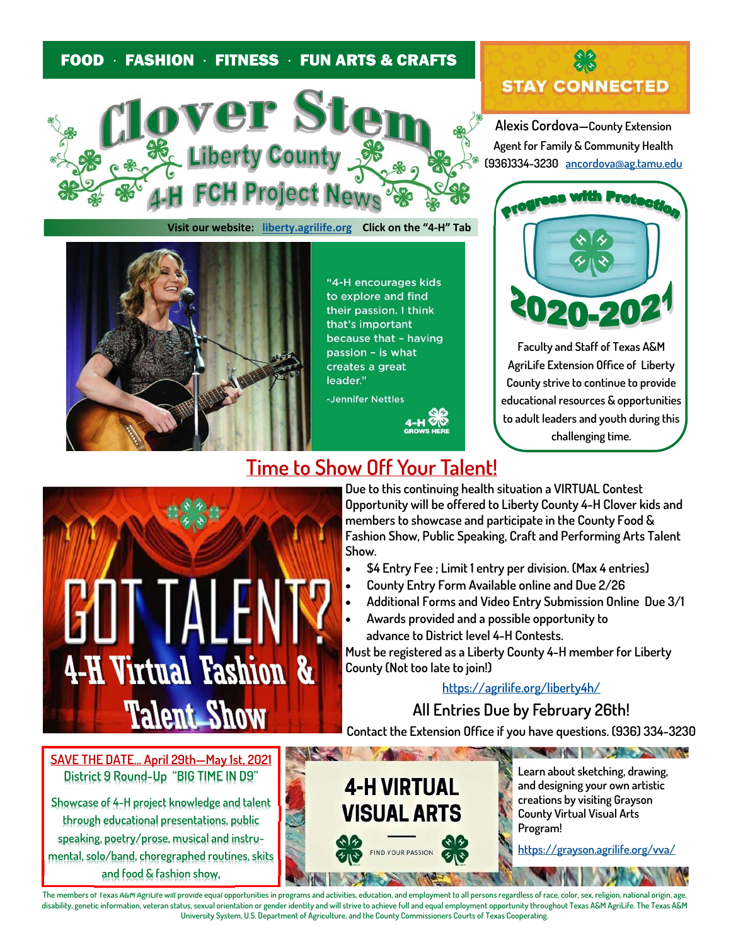## FOOD · FASHION · FITNESS · FUN ARTS & CRAFTS



**Visit our website: liberty.agrilife.org Click on the "4‐H" Tab** 



"4-H encourages kids to explore and find their passion. I think that's important because that - having passion - is what creates a great leader."

-Jennifer Nettles



**Alexis Cordova—County Extension Agent for Family & Community Health (936)334-3230 ancordova@ag.tamu.edu**



**Faculty and Staff of Texas A&M AgriLife Extension Office of Liberty County strive to continue to provide educational resources & opportunities to adult leaders and youth during this challenging time.** 



**Time to Show Off Your Talent!** 

**Due to this continuing health situation a VIRTUAL Contest Opportunity will be offered to Liberty County 4-H Clover kids and members to showcase and participate in the County Food & Fashion Show, Public Speaking, Craft and Performing Arts Talent Show.** 

- **\$4 Entry Fee ; Limit 1 entry per division. (Max 4 entries)**
- **County Entry Form Available online and Due 2/26**
- **Additional Forms and Video Entry Submission Online Due 3/1**
- **Awards provided and a possible opportunity to advance to District level 4-H Contests.**

**Must be registered as a Liberty County 4-H member for Liberty County (Not too late to join!)** 

**https://agrilife.org/liberty4h/**

**All Entries Due by February 26th!** 

**Contact the Extension Office if you have questions. (936) 334-3230** 

**SAVE THE DATE… April 29th—May 1st, 2021 District 9 Round-Up "BIG TIME IN D9"**

**Showcase of 4-H project knowledge and talent through educational presentations, public speaking, poetry/prose, musical and instrumental, solo/band, choregraphed routines, skits and food & fashion show.**



**Learn about sketching, drawing, and designing your own artistic creations by visiting Grayson County Virtual Visual Arts Program!** 

The state of the state of the state of the state of the state of the state of the state of the state of the state of

**https://grayson.agrilife.org/vva/**

**The members of Texas A&M AgriLife will provide equal opportunities in programs and activities, education, and employment to all persons regardless of race, color, sex, religion, national origin, age, disability, genetic information, veteran status, sexual orientation or gender identity and will strive to achieve full and equal employment opportunity throughout Texas A&M AgriLife. The Texas A&M University System, U.S. Department of Agriculture, and the County Commissioners Courts of Texas Cooperating.**

**Barnett**